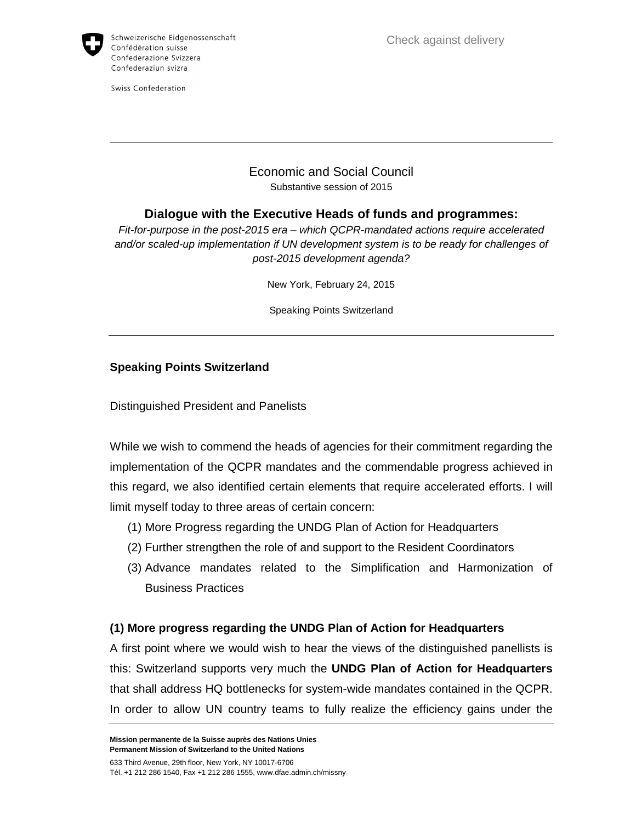

Swiss Confederation

### Economic and Social Council Substantive session of 2015

# **Dialogue with the Executive Heads of funds and programmes:**

Fit-for-purpose in the post-2015 era – which QCPR-mandated actions require accelerated and/or scaled-up implementation if UN development system is to be ready for challenges of post-2015 development agenda?

New York, February 24, 2015

Speaking Points Switzerland

#### **Speaking Points Switzerland**

Distinguished President and Panelists

While we wish to commend the heads of agencies for their commitment regarding the implementation of the QCPR mandates and the commendable progress achieved in this regard, we also identified certain elements that require accelerated efforts. I will limit myself today to three areas of certain concern:

- (1) More Progress regarding the UNDG Plan of Action for Headquarters
- (2) Further strengthen the role of and support to the Resident Coordinators
- (3) Advance mandates related to the Simplification and Harmonization of Business Practices

## **(1) More progress regarding the UNDG Plan of Action for Headquarters**

A first point where we would wish to hear the views of the distinguished panellists is this: Switzerland supports very much the **UNDG Plan of Action for Headquarters** that shall address HQ bottlenecks for system-wide mandates contained in the QCPR. In order to allow UN country teams to fully realize the efficiency gains under the

**Mission permanente de la Suisse auprès des Nations Unies Permanent Mission of Switzerland to the United Nations**  633 Third Avenue, 29th floor, New York, NY 10017-6706

Tél. +1 212 286 1540, Fax +1 212 286 1555, www.dfae.admin.ch/missny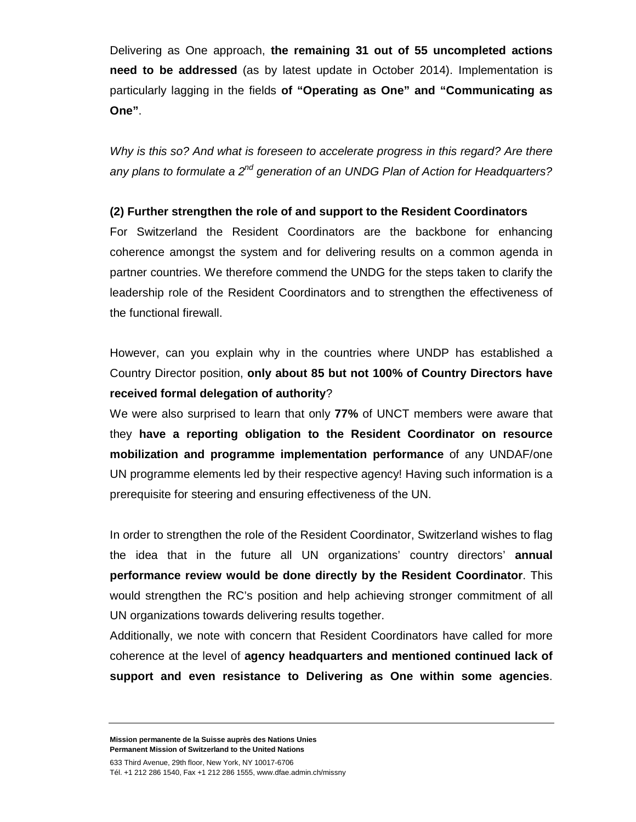Delivering as One approach, **the remaining 31 out of 55 uncompleted actions need to be addressed** (as by latest update in October 2014). Implementation is particularly lagging in the fields **of "Operating as One" and "Communicating as One"**.

Why is this so? And what is foreseen to accelerate progress in this regard? Are there any plans to formulate a  $2^{nd}$  generation of an UNDG Plan of Action for Headquarters?

#### **(2) Further strengthen the role of and support to the Resident Coordinators**

For Switzerland the Resident Coordinators are the backbone for enhancing coherence amongst the system and for delivering results on a common agenda in partner countries. We therefore commend the UNDG for the steps taken to clarify the leadership role of the Resident Coordinators and to strengthen the effectiveness of the functional firewall.

However, can you explain why in the countries where UNDP has established a Country Director position, **only about 85 but not 100% of Country Directors have received formal delegation of authority**?

We were also surprised to learn that only **77%** of UNCT members were aware that they **have a reporting obligation to the Resident Coordinator on resource mobilization and programme implementation performance** of any UNDAF/one UN programme elements led by their respective agency! Having such information is a prerequisite for steering and ensuring effectiveness of the UN.

In order to strengthen the role of the Resident Coordinator, Switzerland wishes to flag the idea that in the future all UN organizations' country directors' **annual performance review would be done directly by the Resident Coordinator**. This would strengthen the RC's position and help achieving stronger commitment of all UN organizations towards delivering results together.

Additionally, we note with concern that Resident Coordinators have called for more coherence at the level of **agency headquarters and mentioned continued lack of support and even resistance to Delivering as One within some agencies**.

**Mission permanente de la Suisse auprès des Nations Unies Permanent Mission of Switzerland to the United Nations** 

633 Third Avenue, 29th floor, New York, NY 10017-6706 Tél. +1 212 286 1540, Fax +1 212 286 1555, www.dfae.admin.ch/missny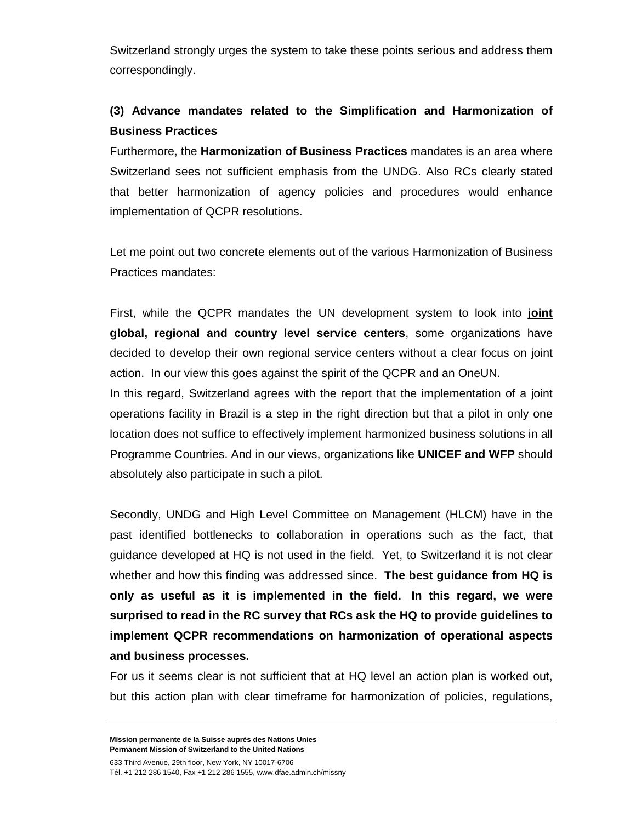Switzerland strongly urges the system to take these points serious and address them correspondingly.

# **(3) Advance mandates related to the Simplification and Harmonization of Business Practices**

Furthermore, the **Harmonization of Business Practices** mandates is an area where Switzerland sees not sufficient emphasis from the UNDG. Also RCs clearly stated that better harmonization of agency policies and procedures would enhance implementation of QCPR resolutions.

Let me point out two concrete elements out of the various Harmonization of Business Practices mandates:

First, while the QCPR mandates the UN development system to look into **joint global, regional and country level service centers**, some organizations have decided to develop their own regional service centers without a clear focus on joint action. In our view this goes against the spirit of the QCPR and an OneUN.

In this regard, Switzerland agrees with the report that the implementation of a joint operations facility in Brazil is a step in the right direction but that a pilot in only one location does not suffice to effectively implement harmonized business solutions in all Programme Countries. And in our views, organizations like **UNICEF and WFP** should absolutely also participate in such a pilot.

Secondly, UNDG and High Level Committee on Management (HLCM) have in the past identified bottlenecks to collaboration in operations such as the fact, that guidance developed at HQ is not used in the field. Yet, to Switzerland it is not clear whether and how this finding was addressed since. **The best guidance from HQ is only as useful as it is implemented in the field. In this regard, we were surprised to read in the RC survey that RCs ask the HQ to provide guidelines to implement QCPR recommendations on harmonization of operational aspects and business processes.**

For us it seems clear is not sufficient that at HQ level an action plan is worked out, but this action plan with clear timeframe for harmonization of policies, regulations,

**Mission permanente de la Suisse auprès des Nations Unies Permanent Mission of Switzerland to the United Nations** 

633 Third Avenue, 29th floor, New York, NY 10017-6706 Tél. +1 212 286 1540, Fax +1 212 286 1555, www.dfae.admin.ch/missny